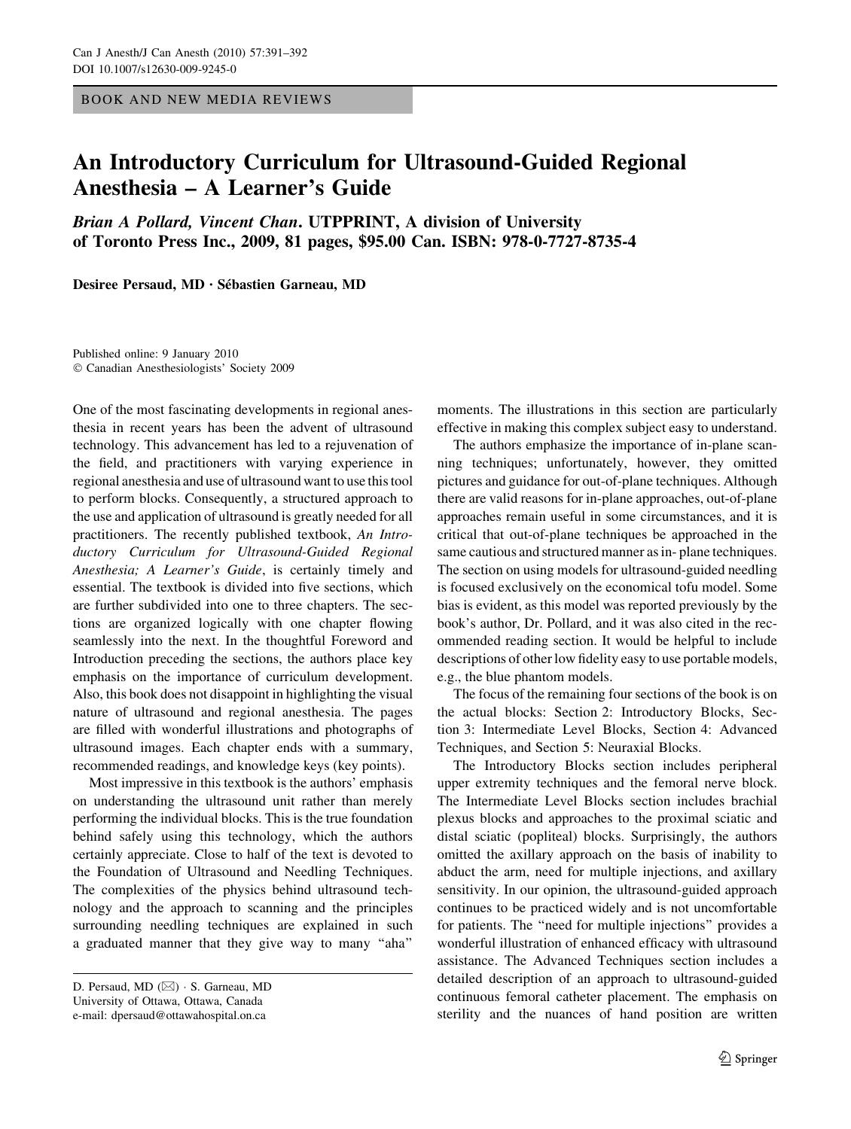BOOK AND NEW MEDIA REVIEWS

## An Introductory Curriculum for Ultrasound-Guided Regional Anesthesia – A Learner's Guide

Brian A Pollard, Vincent Chan. UTPPRINT, A division of University of Toronto Press Inc., 2009, 81 pages, \$95.00 Can. ISBN: 978-0-7727-8735-4

Desiree Persaud, MD · Sébastien Garneau, MD

Published online: 9 January 2010 Canadian Anesthesiologists' Society 2009

One of the most fascinating developments in regional anesthesia in recent years has been the advent of ultrasound technology. This advancement has led to a rejuvenation of the field, and practitioners with varying experience in regional anesthesia and use of ultrasound want to use this tool to perform blocks. Consequently, a structured approach to the use and application of ultrasound is greatly needed for all practitioners. The recently published textbook, An Introductory Curriculum for Ultrasound-Guided Regional Anesthesia; A Learner's Guide, is certainly timely and essential. The textbook is divided into five sections, which are further subdivided into one to three chapters. The sections are organized logically with one chapter flowing seamlessly into the next. In the thoughtful Foreword and Introduction preceding the sections, the authors place key emphasis on the importance of curriculum development. Also, this book does not disappoint in highlighting the visual nature of ultrasound and regional anesthesia. The pages are filled with wonderful illustrations and photographs of ultrasound images. Each chapter ends with a summary, recommended readings, and knowledge keys (key points).

Most impressive in this textbook is the authors' emphasis on understanding the ultrasound unit rather than merely performing the individual blocks. This is the true foundation behind safely using this technology, which the authors certainly appreciate. Close to half of the text is devoted to the Foundation of Ultrasound and Needling Techniques. The complexities of the physics behind ultrasound technology and the approach to scanning and the principles surrounding needling techniques are explained in such a graduated manner that they give way to many ''aha''

moments. The illustrations in this section are particularly effective in making this complex subject easy to understand.

The authors emphasize the importance of in-plane scanning techniques; unfortunately, however, they omitted pictures and guidance for out-of-plane techniques. Although there are valid reasons for in-plane approaches, out-of-plane approaches remain useful in some circumstances, and it is critical that out-of-plane techniques be approached in the same cautious and structured manner as in- plane techniques. The section on using models for ultrasound-guided needling is focused exclusively on the economical tofu model. Some bias is evident, as this model was reported previously by the book's author, Dr. Pollard, and it was also cited in the recommended reading section. It would be helpful to include descriptions of other low fidelity easy to use portable models, e.g., the blue phantom models.

The focus of the remaining four sections of the book is on the actual blocks: Section 2: Introductory Blocks, Section 3: Intermediate Level Blocks, Section 4: Advanced Techniques, and Section 5: Neuraxial Blocks.

The Introductory Blocks section includes peripheral upper extremity techniques and the femoral nerve block. The Intermediate Level Blocks section includes brachial plexus blocks and approaches to the proximal sciatic and distal sciatic (popliteal) blocks. Surprisingly, the authors omitted the axillary approach on the basis of inability to abduct the arm, need for multiple injections, and axillary sensitivity. In our opinion, the ultrasound-guided approach continues to be practiced widely and is not uncomfortable for patients. The ''need for multiple injections'' provides a wonderful illustration of enhanced efficacy with ultrasound assistance. The Advanced Techniques section includes a detailed description of an approach to ultrasound-guided continuous femoral catheter placement. The emphasis on sterility and the nuances of hand position are written

D. Persaud, MD ( $\boxtimes$ ) · S. Garneau, MD University of Ottawa, Ottawa, Canada e-mail: dpersaud@ottawahospital.on.ca